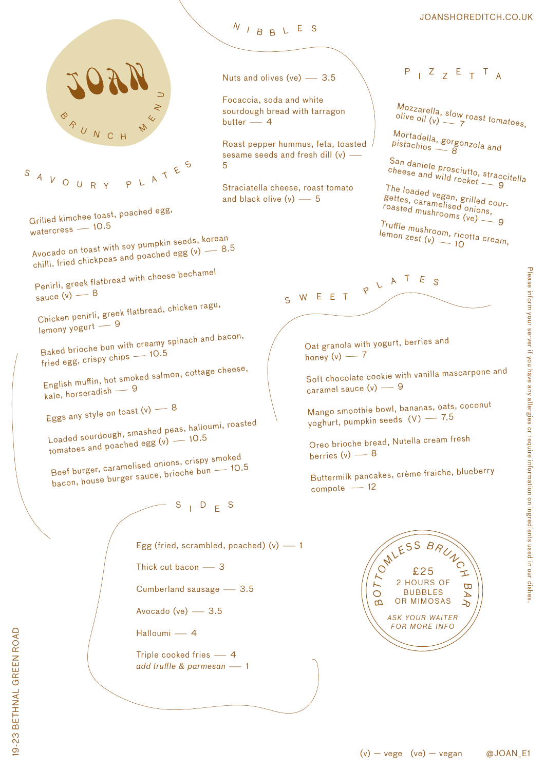

<sup>S</sup> <sup>A</sup> <sup>V</sup> <sup>O</sup> <sup>U</sup> <sup>R</sup> <sup>Y</sup>PLATES

Grilled kimchee toast, poached egg, watercress — 10.5

Avocado on toast with soy pumpkin seeds, korean chilli, fried chickpeas and poached egg  $(v)$   $-$  8.5

Penirli, greek flatbread with cheese bechame<sup>l</sup> sauce  $\check{v}$   $\check{v}$   $-$  8

Chicken penirli, greek flatbread, chicken ragu,  $l$ emony yogurt  $-9$ 

Baked brioche bun with creamy spinach and bacon, fried egg, crispy chips  $-10.5$ 

English muffin, hot smoked salmon, cottage cheese,  $k$ ale, horseradish  $-9$ 

Eggs any style on toast  $(v)$  - 8

Loaded sourdough, smashed peas, halloumi, roasted tomatoes and poached egg  $(v)$  - 10.5

Beef burger, caramelised onions, crispy smoked bacon, house burger sauce, brioche bun — 10.5

 $-S$   $D$   $F$  S

Egg (fried, scrambled, poached)  $(v)$  -1

Thick cut bacon  $-$  3

Cumberland sausage  $- 3.5$ 

Avocado (ve)  $- 3.5$ 

Halloumi - 4

Triple cooked fries  $-4$ *add truffle & parmesan* - 1

<sup>N</sup> <sup>I</sup> <sup>B</sup> <sup>B</sup> <sup>L</sup> <sup>E</sup> <sup>S</sup>

Focaccia, soda and white sourdough bread with tarragon  $butter - 4$ 

Roast pepper hummus, feta, toasted sesame seeds and fresh dill (v) -5

Straciatella cheese, roast tomato and black olive  $(v)$   $- 5$ 

 $P$   $I$   $Z$   $Z$   $E$   $T$   $T$   $A$ 

JOANSHOREDITCH.CO.UK

Mozzarella, slow roast tomatoes,<br>olive oil (v) — 7

Mortadella, gorgonzola and<br>pistachios — 8

San daniele prosciutto, straccitella cheese and wild rocket 9

The loaded vegan, grilled courgettes, caramelised onions, roasted mushrooms (ve)

Truffle mushroom, ricotta cream,<br>lemon zest (v)  $\frac{1}{2}$  10  $l$ emon zest (v)  $\sim$  10

S W E E T  $P$  L A T E S

Oat granola with yogurt, berries an<sup>d</sup> honey  $(v)$  - 7

Soft chocolate cookie with vanilla mascarpone an<sup>d</sup> caramel sauce  $(v)$  - 9

Mango smoothie bowl, bananas, oats, coconu<sup>t</sup> yoghurt, pumpkin seeds (V) - 7.5

Oreo brioche bread, Nutella cream fresh berries  $(v)$  - 8

Buttermilk pancakes, crème fraiche, blueberry  $compote$   $-12$